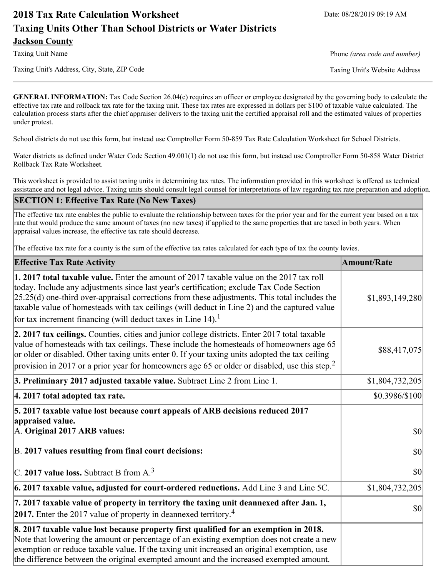# **2018 Tax Rate Calculation Worksheet** Date: 08/28/2019 09:19 AM **Taxing Units Other Than School Districts or Water Districts Jackson County**

Taxing Unit Name **Phone** *(area code and number)* Phone *(area code and number)* 

Taxing Unit's Address, City, State, ZIP Code Taxing Unit's Website Address

**GENERAL INFORMATION:** Tax Code Section 26.04(c) requires an officer or employee designated by the governing body to calculate the effective tax rate and rollback tax rate for the taxing unit. These tax rates are expressed in dollars per \$100 of taxable value calculated. The calculation process starts after the chief appraiser delivers to the taxing unit the certified appraisal roll and the estimated values of properties under protest.

School districts do not use this form, but instead use Comptroller Form 50-859 Tax Rate Calculation Worksheet for School Districts.

Water districts as defined under Water Code Section 49.001(1) do not use this form, but instead use Comptroller Form 50-858 Water District Rollback Tax Rate Worksheet.

This worksheet is provided to assist taxing units in determining tax rates. The information provided in this worksheet is offered as technical assistance and not legal advice. Taxing units should consult legal counsel for interpretations of law regarding tax rate preparation and adoption.

### **SECTION 1: Effective Tax Rate (No New Taxes)**

The effective tax rate enables the public to evaluate the relationship between taxes for the prior year and for the current year based on a tax rate that would produce the same amount of taxes (no new taxes) if applied to the same properties that are taxed in both years. When appraisal values increase, the effective tax rate should decrease.

The effective tax rate for a county is the sum of the effective tax rates calculated for each type of tax the county levies.

| <b>Effective Tax Rate Activity</b>                                                                                                                                                                                                                                                                                                                                                                                                                                      | <b>Amount/Rate</b> |
|-------------------------------------------------------------------------------------------------------------------------------------------------------------------------------------------------------------------------------------------------------------------------------------------------------------------------------------------------------------------------------------------------------------------------------------------------------------------------|--------------------|
| 1. 2017 total taxable value. Enter the amount of 2017 taxable value on the 2017 tax roll<br>today. Include any adjustments since last year's certification; exclude Tax Code Section<br>$[25.25(d)$ one-third over-appraisal corrections from these adjustments. This total includes the<br>taxable value of homesteads with tax ceilings (will deduct in Line 2) and the captured value<br>for tax increment financing (will deduct taxes in Line $14$ ). <sup>1</sup> | \$1,893,149,280    |
| 2. 2017 tax ceilings. Counties, cities and junior college districts. Enter 2017 total taxable<br>value of homesteads with tax ceilings. These include the homesteads of homeowners age 65<br>or older or disabled. Other taxing units enter 0. If your taxing units adopted the tax ceiling<br>provision in 2017 or a prior year for homeowners age 65 or older or disabled, use this step. <sup>2</sup>                                                                | \$88,417,075       |
| 3. Preliminary 2017 adjusted taxable value. Subtract Line 2 from Line 1.                                                                                                                                                                                                                                                                                                                                                                                                | \$1,804,732,205    |
| 4. 2017 total adopted tax rate.                                                                                                                                                                                                                                                                                                                                                                                                                                         | \$0.3986/\$100     |
| 5. 2017 taxable value lost because court appeals of ARB decisions reduced 2017<br>appraised value.<br>A. Original 2017 ARB values:                                                                                                                                                                                                                                                                                                                                      | $ 10\rangle$       |
| B. 2017 values resulting from final court decisions:                                                                                                                                                                                                                                                                                                                                                                                                                    | \$0                |
| C. 2017 value loss. Subtract B from $A3$                                                                                                                                                                                                                                                                                                                                                                                                                                | $ 10\rangle$       |
| [6. 2017 taxable value, adjusted for court-ordered reductions. Add Line 3 and Line 5C.                                                                                                                                                                                                                                                                                                                                                                                  | \$1,804,732,205    |
| 7. 2017 taxable value of property in territory the taxing unit deannexed after Jan. 1,<br><b>2017.</b> Enter the 2017 value of property in deannexed territory. <sup>4</sup>                                                                                                                                                                                                                                                                                            | \$0                |
| 8. 2017 taxable value lost because property first qualified for an exemption in 2018.<br>Note that lowering the amount or percentage of an existing exemption does not create a new<br>exemption or reduce taxable value. If the taxing unit increased an original exemption, use<br>the difference between the original exempted amount and the increased exempted amount.                                                                                             |                    |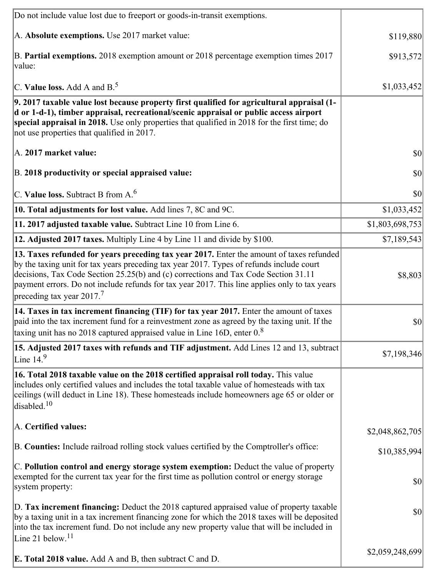| Do not include value lost due to freeport or goods-in-transit exemptions.                                                                                                                                                                                                                                                                                                                                             |                 |
|-----------------------------------------------------------------------------------------------------------------------------------------------------------------------------------------------------------------------------------------------------------------------------------------------------------------------------------------------------------------------------------------------------------------------|-----------------|
| A. Absolute exemptions. Use 2017 market value:                                                                                                                                                                                                                                                                                                                                                                        | \$119,880       |
| B. Partial exemptions. 2018 exemption amount or 2018 percentage exemption times 2017<br>value:                                                                                                                                                                                                                                                                                                                        | \$913,572       |
| C. Value loss. Add A and $B^5$ .                                                                                                                                                                                                                                                                                                                                                                                      | \$1,033,452     |
| 9. 2017 taxable value lost because property first qualified for agricultural appraisal (1-<br>d or 1-d-1), timber appraisal, recreational/scenic appraisal or public access airport<br>special appraisal in 2018. Use only properties that qualified in 2018 for the first time; do<br>not use properties that qualified in 2017.                                                                                     |                 |
| A. 2017 market value:                                                                                                                                                                                                                                                                                                                                                                                                 | $ 10\rangle$    |
| B. 2018 productivity or special appraised value:                                                                                                                                                                                                                                                                                                                                                                      | \$0             |
| C. Value loss. Subtract B from $A6$                                                                                                                                                                                                                                                                                                                                                                                   | \$0             |
| 10. Total adjustments for lost value. Add lines 7, 8C and 9C.                                                                                                                                                                                                                                                                                                                                                         | \$1,033,452     |
| 11. 2017 adjusted taxable value. Subtract Line 10 from Line 6.                                                                                                                                                                                                                                                                                                                                                        | \$1,803,698,753 |
| 12. Adjusted 2017 taxes. Multiply Line 4 by Line 11 and divide by \$100.                                                                                                                                                                                                                                                                                                                                              | \$7,189,543     |
| 13. Taxes refunded for years preceding tax year 2017. Enter the amount of taxes refunded<br>by the taxing unit for tax years preceding tax year 2017. Types of refunds include court<br>decisions, Tax Code Section 25.25(b) and (c) corrections and Tax Code Section 31.11<br>payment errors. Do not include refunds for tax year 2017. This line applies only to tax years<br>preceding tax year 2017. <sup>7</sup> | \$8,803         |
| 14. Taxes in tax increment financing (TIF) for tax year 2017. Enter the amount of taxes<br>paid into the tax increment fund for a reinvestment zone as agreed by the taxing unit. If the<br>taxing unit has no 2018 captured appraised value in Line 16D, enter $08$                                                                                                                                                  | $ 10\rangle$    |
| 15. Adjusted 2017 taxes with refunds and TIF adjustment. Add Lines 12 and 13, subtract<br>Line $149$                                                                                                                                                                                                                                                                                                                  | \$7,198,346     |
| 16. Total 2018 taxable value on the 2018 certified appraisal roll today. This value<br>includes only certified values and includes the total taxable value of homesteads with tax<br>ceilings (will deduct in Line 18). These homesteads include homeowners age 65 or older or<br>disabled. <sup>10</sup>                                                                                                             |                 |
| A. Certified values:                                                                                                                                                                                                                                                                                                                                                                                                  | \$2,048,862,705 |
| B. Counties: Include railroad rolling stock values certified by the Comptroller's office:                                                                                                                                                                                                                                                                                                                             | \$10,385,994    |
| C. Pollution control and energy storage system exemption: Deduct the value of property<br>exempted for the current tax year for the first time as pollution control or energy storage<br>system property:                                                                                                                                                                                                             | \$0             |
| D. Tax increment financing: Deduct the 2018 captured appraised value of property taxable<br>by a taxing unit in a tax increment financing zone for which the 2018 taxes will be deposited<br>into the tax increment fund. Do not include any new property value that will be included in<br>Line 21 below. $11$                                                                                                       | \$0             |
| <b>E. Total 2018 value.</b> Add A and B, then subtract C and D.                                                                                                                                                                                                                                                                                                                                                       | \$2,059,248,699 |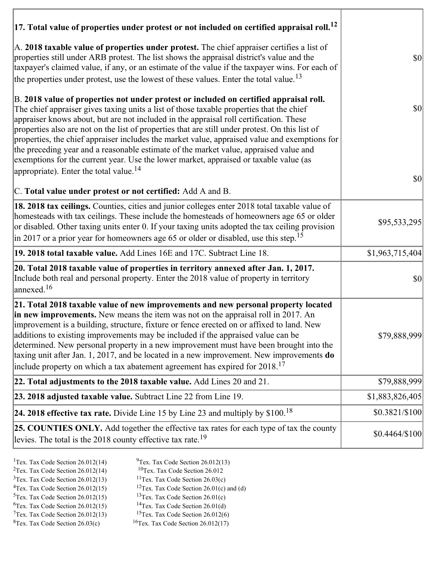| $ 17$ . Total value of properties under protest or not included on certified appraisal roll. <sup>12</sup>                                                                                                                                                                                                                                                                                                                                                                                                                                                                                                                                                                                                               |                 |
|--------------------------------------------------------------------------------------------------------------------------------------------------------------------------------------------------------------------------------------------------------------------------------------------------------------------------------------------------------------------------------------------------------------------------------------------------------------------------------------------------------------------------------------------------------------------------------------------------------------------------------------------------------------------------------------------------------------------------|-----------------|
| A. 2018 taxable value of properties under protest. The chief appraiser certifies a list of<br>properties still under ARB protest. The list shows the appraisal district's value and the<br>taxpayer's claimed value, if any, or an estimate of the value if the taxpayer wins. For each of<br>the properties under protest, use the lowest of these values. Enter the total value. <sup>13</sup>                                                                                                                                                                                                                                                                                                                         | $ 10\rangle$    |
| B. 2018 value of properties not under protest or included on certified appraisal roll.<br>The chief appraiser gives taxing units a list of those taxable properties that the chief<br>appraiser knows about, but are not included in the appraisal roll certification. These<br>properties also are not on the list of properties that are still under protest. On this list of<br>properties, the chief appraiser includes the market value, appraised value and exemptions for<br>the preceding year and a reasonable estimate of the market value, appraised value and<br>exemptions for the current year. Use the lower market, appraised or taxable value (as<br>appropriate). Enter the total value. <sup>14</sup> | $ 10\rangle$    |
| C. Total value under protest or not certified: Add A and B.                                                                                                                                                                                                                                                                                                                                                                                                                                                                                                                                                                                                                                                              | $ 10\rangle$    |
| 18. 2018 tax ceilings. Counties, cities and junior colleges enter 2018 total taxable value of<br>homesteads with tax ceilings. These include the homesteads of homeowners age 65 or older<br>or disabled. Other taxing units enter 0. If your taxing units adopted the tax ceiling provision<br>$\vert$ in 2017 or a prior year for homeowners age 65 or older or disabled, use this step. <sup>15</sup>                                                                                                                                                                                                                                                                                                                 | \$95,533,295    |
| 19. 2018 total taxable value. Add Lines 16E and 17C. Subtract Line 18.                                                                                                                                                                                                                                                                                                                                                                                                                                                                                                                                                                                                                                                   | \$1,963,715,404 |
| 20. Total 2018 taxable value of properties in territory annexed after Jan. 1, 2017.<br>Include both real and personal property. Enter the 2018 value of property in territory<br>$\alpha$ annexed. <sup>16</sup>                                                                                                                                                                                                                                                                                                                                                                                                                                                                                                         | <b>\$0</b>      |
| 21. Total 2018 taxable value of new improvements and new personal property located<br>in new improvements. New means the item was not on the appraisal roll in 2017. An<br>improvement is a building, structure, fixture or fence erected on or affixed to land. New<br>additions to existing improvements may be included if the appraised value can be<br>determined. New personal property in a new improvement must have been brought into the<br>taxing unit after Jan. 1, 2017, and be located in a new improvement. New improvements do<br>include property on which a tax abatement agreement has expired for $2018$ . <sup>17</sup>                                                                             | \$79,888,999    |
| 22. Total adjustments to the 2018 taxable value. Add Lines 20 and 21.                                                                                                                                                                                                                                                                                                                                                                                                                                                                                                                                                                                                                                                    | \$79,888,999    |
| 23. 2018 adjusted taxable value. Subtract Line 22 from Line 19.                                                                                                                                                                                                                                                                                                                                                                                                                                                                                                                                                                                                                                                          | \$1,883,826,405 |
| 24. 2018 effective tax rate. Divide Line 15 by Line 23 and multiply by \$100. <sup>18</sup>                                                                                                                                                                                                                                                                                                                                                                                                                                                                                                                                                                                                                              | \$0.3821/\$100  |
| 25. COUNTIES ONLY. Add together the effective tax rates for each type of tax the county<br>levies. The total is the 2018 county effective tax rate. <sup>19</sup>                                                                                                                                                                                                                                                                                                                                                                                                                                                                                                                                                        | $$0.4464/\$100$ |

- 
- <sup>1</sup>Tex. Tax Code Section 26.012(14) <sup>9</sup>Tex. Tax Code Section 26.012(13) <sup>9</sup>Tex. Tax Code Section 26.012
- <sup>2</sup>Tex. Tax Code Section 26.012(14) <sup>10</sup>Tex. Tax Code Section 26.012<br><sup>3</sup>Tex. Tax Code Section 26.03(c) <sup>11</sup>Tex. Tax Code Section 26.03(c)
	- <sup>12</sup>Tex. Tax Code Section 26.01(c) and (d) <sup>13</sup>Tex. Tax Code Section 26.01(c)
- ${}^{3}$ Tex. Tax Code Section 26.012(13)<br> ${}^{4}$ Tex. Tax Code Section 26.012(15)
- <sup>5</sup>Tex. Tax Code Section 26.012(15) <sup>13</sup>Tex. Tax Code Section 26.01(c)<br><sup>6</sup>Tex. Tax Code Section 26.012(15) <sup>14</sup>Tex. Tax Code Section 26.01(d)
	-
	-
- $7$ Tex. Tax Code Section 26.012(13)<br><sup>8</sup>Tex. Tax Code Section 26.03(c)
- <sup>6</sup>Tex. Tax Code Section 26.012(15) <sup>14</sup>Tex. Tax Code Section 26.01(d)<br><sup>7</sup>Tex. Tax Code Section 26.012(13) <sup>15</sup>Tex. Tax Code Section 26.012(6)
	- $16$ Tex. Tax Code Section 26.012(17)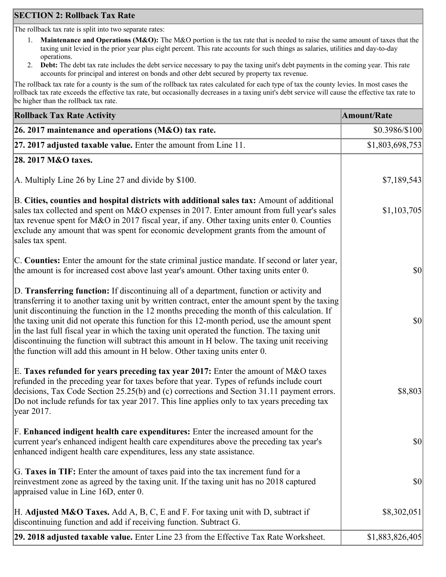### **SECTION 2: Rollback Tax Rate**

The rollback tax rate is split into two separate rates:

- 1. **Maintenance and Operations (M&O):** The M&O portion is the tax rate that is needed to raise the same amount of taxes that the taxing unit levied in the prior year plus eight percent. This rate accounts for such things as salaries, utilities and day-to-day operations.
- 2. **Debt:** The debt tax rate includes the debt service necessary to pay the taxing unit's debt payments in the coming year. This rate accounts for principal and interest on bonds and other debt secured by property tax revenue.

The rollback tax rate for a county is the sum of the rollback tax rates calculated for each type of tax the county levies. In most cases the rollback tax rate exceeds the effective tax rate, but occasionally decreases in a taxing unit's debt service will cause the effective tax rate to be higher than the rollback tax rate.

| <b>Rollback Tax Rate Activity</b>                                                                                                                                                                                                                                                                                                                                                                                                                                                                                                                                                                                                                                       | <b>Amount/Rate</b>                  |
|-------------------------------------------------------------------------------------------------------------------------------------------------------------------------------------------------------------------------------------------------------------------------------------------------------------------------------------------------------------------------------------------------------------------------------------------------------------------------------------------------------------------------------------------------------------------------------------------------------------------------------------------------------------------------|-------------------------------------|
| 26. 2017 maintenance and operations ( $M&O$ ) tax rate.                                                                                                                                                                                                                                                                                                                                                                                                                                                                                                                                                                                                                 | \$0.3986/\$100                      |
| 27. 2017 adjusted taxable value. Enter the amount from Line 11.                                                                                                                                                                                                                                                                                                                                                                                                                                                                                                                                                                                                         | \$1,803,698,753                     |
| 28. 2017 M&O taxes.                                                                                                                                                                                                                                                                                                                                                                                                                                                                                                                                                                                                                                                     |                                     |
| A. Multiply Line 26 by Line 27 and divide by \$100.                                                                                                                                                                                                                                                                                                                                                                                                                                                                                                                                                                                                                     | \$7,189,543                         |
| B. Cities, counties and hospital districts with additional sales tax: Amount of additional<br>sales tax collected and spent on M&O expenses in 2017. Enter amount from full year's sales<br>tax revenue spent for M&O in 2017 fiscal year, if any. Other taxing units enter 0. Counties<br>exclude any amount that was spent for economic development grants from the amount of<br>sales tax spent.                                                                                                                                                                                                                                                                     | \$1,103,705                         |
| C. Counties: Enter the amount for the state criminal justice mandate. If second or later year,<br>the amount is for increased cost above last year's amount. Other taxing units enter 0.                                                                                                                                                                                                                                                                                                                                                                                                                                                                                | $ 10\rangle$                        |
| D. Transferring function: If discontinuing all of a department, function or activity and<br>transferring it to another taxing unit by written contract, enter the amount spent by the taxing<br>unit discontinuing the function in the 12 months preceding the month of this calculation. If<br>the taxing unit did not operate this function for this 12-month period, use the amount spent<br>in the last full fiscal year in which the taxing unit operated the function. The taxing unit<br>discontinuing the function will subtract this amount in H below. The taxing unit receiving<br>the function will add this amount in H below. Other taxing units enter 0. | $ 10\rangle$                        |
| E. Taxes refunded for years preceding tax year 2017: Enter the amount of M&O taxes<br>refunded in the preceding year for taxes before that year. Types of refunds include court<br>decisions, Tax Code Section 25.25(b) and (c) corrections and Section 31.11 payment errors.<br>Do not include refunds for tax year 2017. This line applies only to tax years preceding tax<br> year 2017.                                                                                                                                                                                                                                                                             | \$8,803                             |
| F. Enhanced indigent health care expenditures: Enter the increased amount for the<br>current year's enhanced indigent health care expenditures above the preceding tax year's<br>enhanced indigent health care expenditures, less any state assistance.                                                                                                                                                                                                                                                                                                                                                                                                                 | $\vert \mathbf{S} \mathbf{0} \vert$ |
| G. Taxes in TIF: Enter the amount of taxes paid into the tax increment fund for a<br>reinvestment zone as agreed by the taxing unit. If the taxing unit has no 2018 captured<br>appraised value in Line 16D, enter 0.                                                                                                                                                                                                                                                                                                                                                                                                                                                   | $ 10\rangle$                        |
| H. Adjusted M&O Taxes. Add A, B, C, E and F. For taxing unit with D, subtract if<br>discontinuing function and add if receiving function. Subtract G.                                                                                                                                                                                                                                                                                                                                                                                                                                                                                                                   | \$8,302,051                         |
| 29. 2018 adjusted taxable value. Enter Line 23 from the Effective Tax Rate Worksheet.                                                                                                                                                                                                                                                                                                                                                                                                                                                                                                                                                                                   | \$1,883,826,405                     |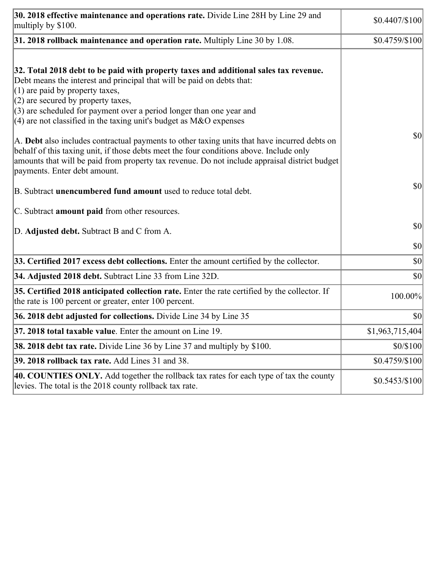| 30. 2018 effective maintenance and operations rate. Divide Line 28H by Line 29 and<br>multiply by \$100.                                                                                                                                                                                                                 | \$0.4407/\$100  |
|--------------------------------------------------------------------------------------------------------------------------------------------------------------------------------------------------------------------------------------------------------------------------------------------------------------------------|-----------------|
| $31.2018$ rollback maintenance and operation rate. Multiply Line 30 by 1.08.                                                                                                                                                                                                                                             | \$0.4759/\$100  |
| 32. Total 2018 debt to be paid with property taxes and additional sales tax revenue.<br>Debt means the interest and principal that will be paid on debts that:<br>$(1)$ are paid by property taxes,<br>$(2)$ are secured by property taxes,<br>$(3)$ are scheduled for payment over a period longer than one year and    |                 |
| $(4)$ are not classified in the taxing unit's budget as M&O expenses                                                                                                                                                                                                                                                     |                 |
| A. Debt also includes contractual payments to other taxing units that have incurred debts on<br>behalf of this taxing unit, if those debts meet the four conditions above. Include only<br>amounts that will be paid from property tax revenue. Do not include appraisal district budget<br>payments. Enter debt amount. | \$0             |
| B. Subtract <b>unencumbered fund amount</b> used to reduce total debt.                                                                                                                                                                                                                                                   | \$0             |
| C. Subtract <b>amount paid</b> from other resources.                                                                                                                                                                                                                                                                     |                 |
| D. Adjusted debt. Subtract B and C from A.                                                                                                                                                                                                                                                                               | $ 10\rangle$    |
|                                                                                                                                                                                                                                                                                                                          | \$0             |
| 33. Certified 2017 excess debt collections. Enter the amount certified by the collector.                                                                                                                                                                                                                                 | \$0             |
| 34. Adjusted 2018 debt. Subtract Line 33 from Line 32D.                                                                                                                                                                                                                                                                  | \$0             |
| 35. Certified 2018 anticipated collection rate. Enter the rate certified by the collector. If<br>the rate is 100 percent or greater, enter 100 percent.                                                                                                                                                                  | 100.00%         |
| 36. 2018 debt adjusted for collections. Divide Line 34 by Line 35                                                                                                                                                                                                                                                        | \$0             |
| <b>37. 2018 total taxable value.</b> Enter the amount on Line 19.                                                                                                                                                                                                                                                        | \$1,963,715,404 |
| <b>38. 2018 debt tax rate.</b> Divide Line 36 by Line 37 and multiply by \$100.                                                                                                                                                                                                                                          | \$0/\$100       |
| 39. 2018 rollback tax rate. Add Lines 31 and 38.                                                                                                                                                                                                                                                                         | \$0.4759/\$100  |
| 40. COUNTIES ONLY. Add together the rollback tax rates for each type of tax the county<br>levies. The total is the 2018 county rollback tax rate.                                                                                                                                                                        | $$0.5453/\$100$ |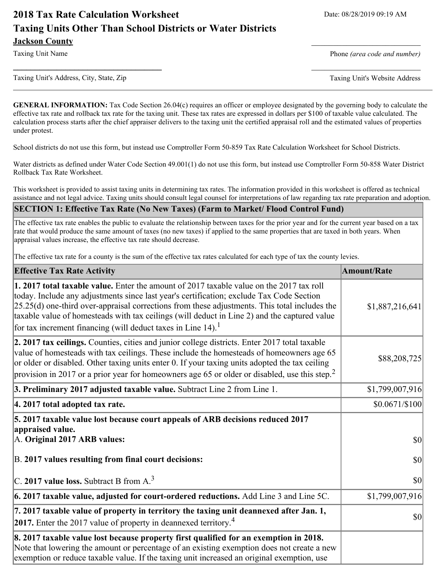# **2018 Tax Rate Calculation Worksheet** Date: 08/28/2019 09:19 AM **Taxing Units Other Than School Districts or Water Districts Jackson County**

Taxing Unit Name **Phone** *(area code and number)* Phone *(area code and number)* 

Taxing Unit's Address, City, State, Zip Taxing Unit's Website Address

**GENERAL INFORMATION:** Tax Code Section 26.04(c) requires an officer or employee designated by the governing body to calculate the effective tax rate and rollback tax rate for the taxing unit. These tax rates are expressed in dollars per \$100 of taxable value calculated. The calculation process starts after the chief appraiser delivers to the taxing unit the certified appraisal roll and the estimated values of properties under protest.

**\_\_\_\_\_\_\_\_\_\_\_\_\_\_\_\_\_\_\_\_\_\_\_\_\_\_\_\_\_\_\_\_\_\_** \_\_\_\_\_\_\_\_\_\_\_\_\_\_\_\_\_\_\_\_\_\_\_\_\_

School districts do not use this form, but instead use Comptroller Form 50-859 Tax Rate Calculation Worksheet for School Districts.

Water districts as defined under Water Code Section 49.001(1) do not use this form, but instead use Comptroller Form 50-858 Water District Rollback Tax Rate Worksheet.

This worksheet is provided to assist taxing units in determining tax rates. The information provided in this worksheet is offered as technical assistance and not legal advice. Taxing units should consult legal counsel for interpretations of law regarding tax rate preparation and adoption.

#### **SECTION 1: Effective Tax Rate (No New Taxes) (Farm to Market/ Flood Control Fund)**

The effective tax rate enables the public to evaluate the relationship between taxes for the prior year and for the current year based on a tax rate that would produce the same amount of taxes (no new taxes) if applied to the same properties that are taxed in both years. When appraisal values increase, the effective tax rate should decrease.

The effective tax rate for a county is the sum of the effective tax rates calculated for each type of tax the county levies.

| <b>Effective Tax Rate Activity</b>                                                                                                                                                                                                                                                                                                                                                                                                                                      | <b>Amount/Rate</b> |
|-------------------------------------------------------------------------------------------------------------------------------------------------------------------------------------------------------------------------------------------------------------------------------------------------------------------------------------------------------------------------------------------------------------------------------------------------------------------------|--------------------|
| 1. 2017 total taxable value. Enter the amount of 2017 taxable value on the 2017 tax roll<br>today. Include any adjustments since last year's certification; exclude Tax Code Section<br>$[25.25(d)$ one-third over-appraisal corrections from these adjustments. This total includes the<br>taxable value of homesteads with tax ceilings (will deduct in Line 2) and the captured value<br>for tax increment financing (will deduct taxes in Line $14$ ). <sup>1</sup> | \$1,887,216,641    |
| 2. 2017 tax ceilings. Counties, cities and junior college districts. Enter 2017 total taxable<br>value of homesteads with tax ceilings. These include the homesteads of homeowners age 65<br>or older or disabled. Other taxing units enter 0. If your taxing units adopted the tax ceiling<br>provision in 2017 or a prior year for homeowners age 65 or older or disabled, use this step. <sup>2</sup>                                                                | \$88,208,725       |
| 3. Preliminary 2017 adjusted taxable value. Subtract Line 2 from Line 1.                                                                                                                                                                                                                                                                                                                                                                                                | \$1,799,007,916    |
| 4. 2017 total adopted tax rate.                                                                                                                                                                                                                                                                                                                                                                                                                                         | \$0.0671/\$100]    |
| 5. 2017 taxable value lost because court appeals of ARB decisions reduced 2017<br>appraised value.<br>A. Original 2017 ARB values:                                                                                                                                                                                                                                                                                                                                      | $ 10\rangle$       |
| B. 2017 values resulting from final court decisions:                                                                                                                                                                                                                                                                                                                                                                                                                    | $ 10\rangle$       |
| C. 2017 value loss. Subtract B from $A3$                                                                                                                                                                                                                                                                                                                                                                                                                                | 30                 |
| $\vert$ 6. 2017 taxable value, adjusted for court-ordered reductions. Add Line 3 and Line 5C.                                                                                                                                                                                                                                                                                                                                                                           | \$1,799,007,916    |
| 7. 2017 taxable value of property in territory the taxing unit deannexed after Jan. 1,<br><b>2017.</b> Enter the 2017 value of property in deannexed territory. <sup>4</sup>                                                                                                                                                                                                                                                                                            | 30                 |
| 8. 2017 taxable value lost because property first qualified for an exemption in 2018.<br>Note that lowering the amount or percentage of an existing exemption does not create a new<br>exemption or reduce taxable value. If the taxing unit increased an original exemption, use                                                                                                                                                                                       |                    |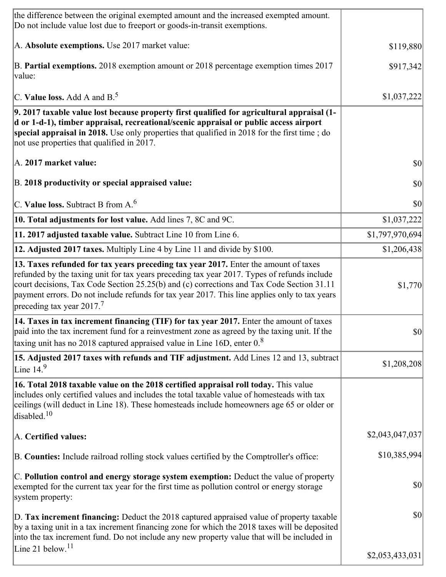| the difference between the original exempted amount and the increased exempted amount.<br>Do not include value lost due to freeport or goods-in-transit exemptions.                                                                                                                                                                                                                                                       |                 |
|---------------------------------------------------------------------------------------------------------------------------------------------------------------------------------------------------------------------------------------------------------------------------------------------------------------------------------------------------------------------------------------------------------------------------|-----------------|
| A. Absolute exemptions. Use 2017 market value:                                                                                                                                                                                                                                                                                                                                                                            | \$119,880       |
| B. Partial exemptions. 2018 exemption amount or 2018 percentage exemption times 2017<br>value:                                                                                                                                                                                                                                                                                                                            | \$917,342       |
| C. Value loss. Add A and $B^5$ .                                                                                                                                                                                                                                                                                                                                                                                          | \$1,037,222     |
| 9. 2017 taxable value lost because property first qualified for agricultural appraisal (1-<br>d or 1-d-1), timber appraisal, recreational/scenic appraisal or public access airport<br>special appraisal in 2018. Use only properties that qualified in 2018 for the first time; do<br>not use properties that qualified in 2017.                                                                                         |                 |
| A. 2017 market value:                                                                                                                                                                                                                                                                                                                                                                                                     | 30              |
| B. 2018 productivity or special appraised value:                                                                                                                                                                                                                                                                                                                                                                          | \$0             |
| C. Value loss. Subtract B from $A6$                                                                                                                                                                                                                                                                                                                                                                                       | \$0             |
| 10. Total adjustments for lost value. Add lines 7, 8C and 9C.                                                                                                                                                                                                                                                                                                                                                             | \$1,037,222     |
| 11. 2017 adjusted taxable value. Subtract Line 10 from Line 6.                                                                                                                                                                                                                                                                                                                                                            | \$1,797,970,694 |
| 12. Adjusted 2017 taxes. Multiply Line 4 by Line 11 and divide by \$100.                                                                                                                                                                                                                                                                                                                                                  | \$1,206,438     |
| 13. Taxes refunded for tax years preceding tax year 2017. Enter the amount of taxes<br>refunded by the taxing unit for tax years preceding tax year 2017. Types of refunds include<br>court decisions, Tax Code Section 25.25(b) and (c) corrections and Tax Code Section 31.11<br>payment errors. Do not include refunds for tax year 2017. This line applies only to tax years<br>preceding tax year 2017. <sup>7</sup> | \$1,770         |
| 14. Taxes in tax increment financing (TIF) for tax year 2017. Enter the amount of taxes<br>paid into the tax increment fund for a reinvestment zone as agreed by the taxing unit. If the<br>taxing unit has no 2018 captured appraised value in Line 16D, enter $0.8$                                                                                                                                                     | $\vert$ \$0     |
| 15. Adjusted 2017 taxes with refunds and TIF adjustment. Add Lines 12 and 13, subtract<br>Line $14.9$                                                                                                                                                                                                                                                                                                                     | \$1,208,208     |
| 16. Total 2018 taxable value on the 2018 certified appraisal roll today. This value<br>includes only certified values and includes the total taxable value of homesteads with tax<br>ceilings (will deduct in Line 18). These homesteads include homeowners age 65 or older or<br>disabled. <sup>10</sup>                                                                                                                 |                 |
| A. Certified values:                                                                                                                                                                                                                                                                                                                                                                                                      | \$2,043,047,037 |
| B. Counties: Include railroad rolling stock values certified by the Comptroller's office:                                                                                                                                                                                                                                                                                                                                 | \$10,385,994    |
| C. Pollution control and energy storage system exemption: Deduct the value of property<br>exempted for the current tax year for the first time as pollution control or energy storage<br>system property:                                                                                                                                                                                                                 | \$0             |
| D. Tax increment financing: Deduct the 2018 captured appraised value of property taxable<br>by a taxing unit in a tax increment financing zone for which the 2018 taxes will be deposited<br>into the tax increment fund. Do not include any new property value that will be included in                                                                                                                                  | \$0             |
| Line 21 below. $11$                                                                                                                                                                                                                                                                                                                                                                                                       | \$2,053,433,031 |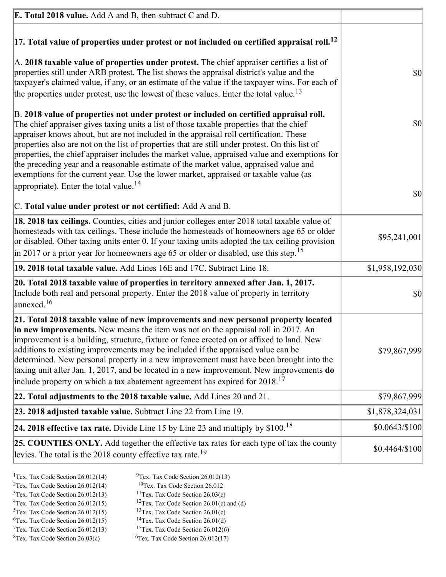| <b>E. Total 2018 value.</b> Add A and B, then subtract C and D.                                                                                                                                                                                                                                                                                                                                                                                                                                                                                                                                                                                                    |                 |
|--------------------------------------------------------------------------------------------------------------------------------------------------------------------------------------------------------------------------------------------------------------------------------------------------------------------------------------------------------------------------------------------------------------------------------------------------------------------------------------------------------------------------------------------------------------------------------------------------------------------------------------------------------------------|-----------------|
| $ 17$ . Total value of properties under protest or not included on certified appraisal roll. <sup>12</sup>                                                                                                                                                                                                                                                                                                                                                                                                                                                                                                                                                         |                 |
| A. 2018 taxable value of properties under protest. The chief appraiser certifies a list of<br>properties still under ARB protest. The list shows the appraisal district's value and the<br>taxpayer's claimed value, if any, or an estimate of the value if the taxpayer wins. For each of<br>the properties under protest, use the lowest of these values. Enter the total value. <sup>13</sup>                                                                                                                                                                                                                                                                   | $ 10\rangle$    |
| B. 2018 value of properties not under protest or included on certified appraisal roll.<br>The chief appraiser gives taxing units a list of those taxable properties that the chief<br>appraiser knows about, but are not included in the appraisal roll certification. These<br>properties also are not on the list of properties that are still under protest. On this list of<br>properties, the chief appraiser includes the market value, appraised value and exemptions for<br>the preceding year and a reasonable estimate of the market value, appraised value and<br>exemptions for the current year. Use the lower market, appraised or taxable value (as | $ 10\rangle$    |
| appropriate). Enter the total value. <sup>14</sup><br>C. Total value under protest or not certified: Add A and B.                                                                                                                                                                                                                                                                                                                                                                                                                                                                                                                                                  | $ 10\rangle$    |
| 18. 2018 tax ceilings. Counties, cities and junior colleges enter 2018 total taxable value of<br>homesteads with tax ceilings. These include the homesteads of homeowners age 65 or older<br>or disabled. Other taxing units enter 0. If your taxing units adopted the tax ceiling provision<br>$\vert$ in 2017 or a prior year for homeowners age 65 or older or disabled, use this step. <sup>15</sup>                                                                                                                                                                                                                                                           | \$95,241,001    |
| 19. 2018 total taxable value. Add Lines 16E and 17C. Subtract Line 18.                                                                                                                                                                                                                                                                                                                                                                                                                                                                                                                                                                                             | \$1,958,192,030 |
| 20. Total 2018 taxable value of properties in territory annexed after Jan. 1, 2017.<br>Include both real and personal property. Enter the 2018 value of property in territory<br>$\lambda$ annexed. $^{16}$                                                                                                                                                                                                                                                                                                                                                                                                                                                        | $ 10\rangle$    |
| 21. Total 2018 taxable value of new improvements and new personal property located<br>in new improvements. New means the item was not on the appraisal roll in 2017. An<br>improvement is a building, structure, fixture or fence erected on or affixed to land. New<br>additions to existing improvements may be included if the appraised value can be<br>determined. New personal property in a new improvement must have been brought into the<br>taxing unit after Jan. 1, 2017, and be located in a new improvement. New improvements do<br>include property on which a tax abatement agreement has expired for $2018$ . <sup>17</sup>                       | \$79,867,999    |
| 22. Total adjustments to the 2018 taxable value. Add Lines 20 and 21.                                                                                                                                                                                                                                                                                                                                                                                                                                                                                                                                                                                              | \$79,867,999    |
| 23. 2018 adjusted taxable value. Subtract Line 22 from Line 19.                                                                                                                                                                                                                                                                                                                                                                                                                                                                                                                                                                                                    | \$1,878,324,031 |
| 24. 2018 effective tax rate. Divide Line 15 by Line 23 and multiply by $$100$ . <sup>18</sup>                                                                                                                                                                                                                                                                                                                                                                                                                                                                                                                                                                      | \$0.0643/\$100  |
| 25. COUNTIES ONLY. Add together the effective tax rates for each type of tax the county<br>levies. The total is the 2018 county effective tax rate. <sup>19</sup>                                                                                                                                                                                                                                                                                                                                                                                                                                                                                                  | $$0.4464/\$100$ |

- <sup>2</sup>Tex. Tax Code Section 26.012(14)<br><sup>3</sup>Tex. Tax Code Section 26.012(13)
- <sup>1</sup>Tex. Tax Code Section 26.012(14) <sup>9</sup>Tex. Tax Code Section 26.012(13) <sup>9</sup>Tex. Tax Code Section 26.012
	-
- <sup>3</sup>Tex. Tax Code Section 26.012(13) <sup>11</sup>Tex. Tax Code Section 26.03(c) <sup>4</sup>Tex. Tax Code Section 26.01(c)
	-
- 
- <sup>6</sup>Tex. Tax Code Section 26.012(15)<br><sup>7</sup>Tex. Tax Code Section 26.012(13)
- 
- 
- <sup>4</sup>Tex. Tax Code Section 26.012(15) <sup>12</sup>Tex. Tax Code Section 26.01(c) and (d)<br><sup>5</sup>Tex. Tax Code Section 26.012(15) <sup>13</sup>Tex. Tax Code Section 26.01(c)
	- <sup>13</sup>Tex. Tax Code Section 26.01(c) <sup>14</sup>Tex. Tax Code Section 26.01(d)
	-
- <sup>7</sup>Tex. Tax Code Section 26.012(13) <sup>15</sup>Tex. Tax Code Section 26.012(6)<br><sup>8</sup>Tex. Tax Code Section 26.03(c) <sup>16</sup>Tex. Tax Code Section 26.012(17)
	- $16$ Tex. Tax Code Section 26.012(17)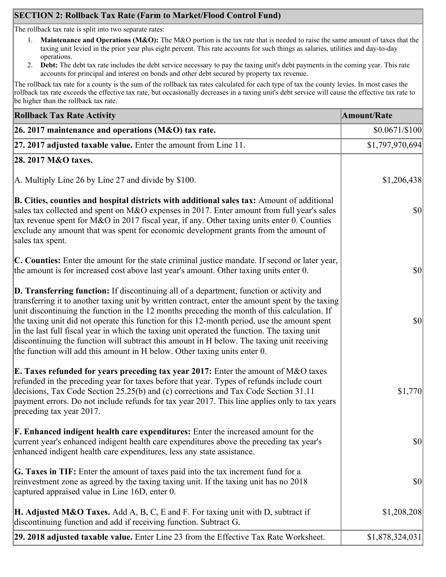## **SECTION 2: Rollback Tax Rate (Farm to Market/Flood Control Fund)**

The rollback tax rate is split into two separate rates:

- 1. **Maintenance and Operations (M&O):** The M&O portion is the tax rate that is needed to raise the same amount of taxes that the taxing unit levied in the prior year plus eight percent. This rate accounts for such things as salaries, utilities and day-to-day operations.
- 2. **Debt:** The debt tax rate includes the debt service necessary to pay the taxing unit's debt payments in the coming year. This rate accounts for principal and interest on bonds and other debt secured by property tax revenue.

The rollback tax rate for a county is the sum of the rollback tax rates calculated for each type of tax the county levies. In most cases the rollback tax rate exceeds the effective tax rate, but occasionally decreases in a taxing unit's debt service will cause the effective tax rate to be higher than the rollback tax rate.

| <b>Rollback Tax Rate Activity</b>                                                                                                                                                                                                                                                                                                                                                                                                                                                                                                                                                                                                                                              | <b>Amount/Rate</b> |
|--------------------------------------------------------------------------------------------------------------------------------------------------------------------------------------------------------------------------------------------------------------------------------------------------------------------------------------------------------------------------------------------------------------------------------------------------------------------------------------------------------------------------------------------------------------------------------------------------------------------------------------------------------------------------------|--------------------|
| 26. 2017 maintenance and operations ( $M&O$ ) tax rate.                                                                                                                                                                                                                                                                                                                                                                                                                                                                                                                                                                                                                        | $$0.0671/\$100$    |
| 27. 2017 adjusted taxable value. Enter the amount from Line 11.                                                                                                                                                                                                                                                                                                                                                                                                                                                                                                                                                                                                                | \$1,797,970,694]   |
| 28. 2017 M&O taxes.                                                                                                                                                                                                                                                                                                                                                                                                                                                                                                                                                                                                                                                            |                    |
| A. Multiply Line 26 by Line 27 and divide by \$100.                                                                                                                                                                                                                                                                                                                                                                                                                                                                                                                                                                                                                            | \$1,206,438        |
| B. Cities, counties and hospital districts with additional sales tax: Amount of additional<br>sales tax collected and spent on M&O expenses in 2017. Enter amount from full year's sales<br>tax revenue spent for M&O in 2017 fiscal year, if any. Other taxing units enter 0. Counties<br>exclude any amount that was spent for economic development grants from the amount of<br>sales tax spent.                                                                                                                                                                                                                                                                            | $ 10\rangle$       |
| C. Counties: Enter the amount for the state criminal justice mandate. If second or later year,<br>the amount is for increased cost above last year's amount. Other taxing units enter 0.                                                                                                                                                                                                                                                                                                                                                                                                                                                                                       | $ 10\rangle$       |
| <b>D. Transferring function:</b> If discontinuing all of a department, function or activity and<br>transferring it to another taxing unit by written contract, enter the amount spent by the taxing<br>unit discontinuing the function in the 12 months preceding the month of this calculation. If<br>the taxing unit did not operate this function for this 12-month period, use the amount spent<br>in the last full fiscal year in which the taxing unit operated the function. The taxing unit<br>discontinuing the function will subtract this amount in H below. The taxing unit receiving<br>the function will add this amount in H below. Other taxing units enter 0. | $ 10\rangle$       |
| E. Taxes refunded for years preceding tax year 2017: Enter the amount of M&O taxes<br>refunded in the preceding year for taxes before that year. Types of refunds include court<br>decisions, Tax Code Section 25.25(b) and (c) corrections and Tax Code Section 31.11<br>payment errors. Do not include refunds for tax year 2017. This line applies only to tax years<br>preceding tax year 2017.                                                                                                                                                                                                                                                                            | \$1,770            |
| <b>F. Enhanced indigent health care expenditures:</b> Enter the increased amount for the<br>current year's enhanced indigent health care expenditures above the preceding tax year's<br>enhanced indigent health care expenditures, less any state assistance.                                                                                                                                                                                                                                                                                                                                                                                                                 | $ 10\rangle$       |
| G. Taxes in TIF: Enter the amount of taxes paid into the tax increment fund for a<br>reinvestment zone as agreed by the taxing taxing unit. If the taxing unit has no 2018<br>captured appraised value in Line 16D, enter 0.                                                                                                                                                                                                                                                                                                                                                                                                                                                   | $ 10\rangle$       |
| <b>H. Adjusted M&amp;O Taxes.</b> Add A, B, C, E and F. For taxing unit with D, subtract if<br>discontinuing function and add if receiving function. Subtract G.                                                                                                                                                                                                                                                                                                                                                                                                                                                                                                               | \$1,208,208        |
| 29. 2018 adjusted taxable value. Enter Line 23 from the Effective Tax Rate Worksheet.                                                                                                                                                                                                                                                                                                                                                                                                                                                                                                                                                                                          | \$1,878,324,031    |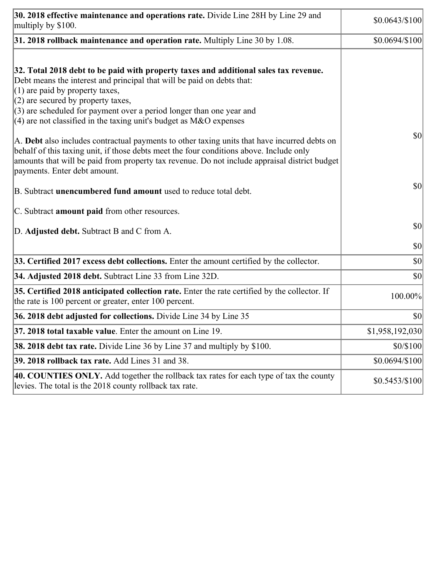| 30. 2018 effective maintenance and operations rate. Divide Line 28H by Line 29 and<br>multiply by \$100.                                                                                                                                                                                                                                                                                      | \$0.0643/\$100] |
|-----------------------------------------------------------------------------------------------------------------------------------------------------------------------------------------------------------------------------------------------------------------------------------------------------------------------------------------------------------------------------------------------|-----------------|
| $31.2018$ rollback maintenance and operation rate. Multiply Line 30 by 1.08.                                                                                                                                                                                                                                                                                                                  | \$0.0694/\$100] |
| 32. Total 2018 debt to be paid with property taxes and additional sales tax revenue.<br>Debt means the interest and principal that will be paid on debts that:<br>$(1)$ are paid by property taxes,<br>$(2)$ are secured by property taxes,<br>$(3)$ are scheduled for payment over a period longer than one year and<br>$(4)$ are not classified in the taxing unit's budget as M&O expenses |                 |
| A. Debt also includes contractual payments to other taxing units that have incurred debts on<br>behalf of this taxing unit, if those debts meet the four conditions above. Include only<br>amounts that will be paid from property tax revenue. Do not include appraisal district budget<br>payments. Enter debt amount.                                                                      | \$0             |
| B. Subtract <b>unencumbered fund amount</b> used to reduce total debt.                                                                                                                                                                                                                                                                                                                        | \$0             |
| C. Subtract <b>amount paid</b> from other resources.                                                                                                                                                                                                                                                                                                                                          |                 |
| D. Adjusted debt. Subtract B and C from A.                                                                                                                                                                                                                                                                                                                                                    | $ 10\rangle$    |
|                                                                                                                                                                                                                                                                                                                                                                                               | \$0             |
| 33. Certified 2017 excess debt collections. Enter the amount certified by the collector.                                                                                                                                                                                                                                                                                                      | \$0             |
| 34. Adjusted 2018 debt. Subtract Line 33 from Line 32D.                                                                                                                                                                                                                                                                                                                                       | \$0             |
| 35. Certified 2018 anticipated collection rate. Enter the rate certified by the collector. If<br>the rate is 100 percent or greater, enter 100 percent.                                                                                                                                                                                                                                       | 100.00%         |
| 36. 2018 debt adjusted for collections. Divide Line 34 by Line 35                                                                                                                                                                                                                                                                                                                             | \$0             |
| 37. 2018 total taxable value. Enter the amount on Line 19.                                                                                                                                                                                                                                                                                                                                    | \$1,958,192,030 |
| <b>38. 2018 debt tax rate.</b> Divide Line 36 by Line 37 and multiply by \$100.                                                                                                                                                                                                                                                                                                               | \$0/\$100       |
| 39. 2018 rollback tax rate. Add Lines 31 and 38.                                                                                                                                                                                                                                                                                                                                              | \$0.0694/\$100  |
| 40. COUNTIES ONLY. Add together the rollback tax rates for each type of tax the county<br>levies. The total is the 2018 county rollback tax rate.                                                                                                                                                                                                                                             | $$0.5453/\$100$ |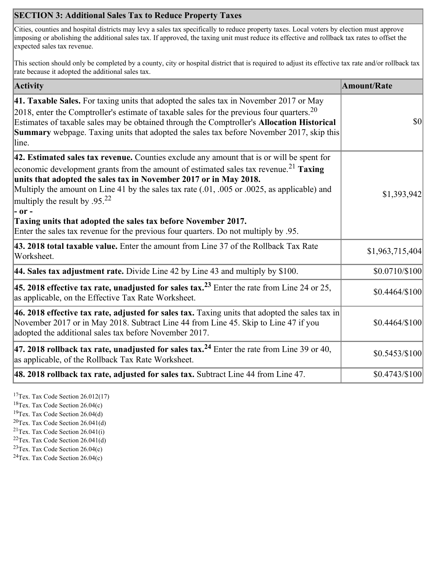### **SECTION 3: Additional Sales Tax to Reduce Property Taxes**

Cities, counties and hospital districts may levy a sales tax specifically to reduce property taxes. Local voters by election must approve imposing or abolishing the additional sales tax. If approved, the taxing unit must reduce its effective and rollback tax rates to offset the expected sales tax revenue.

This section should only be completed by a county, city or hospital district that is required to adjust its effective tax rate and/or rollback tax rate because it adopted the additional sales tax.

| <b>Activity</b>                                                                                                                                                                                                                                                                                                                                                                                                                                                                                                                                                                    | <b>Amount/Rate</b> |
|------------------------------------------------------------------------------------------------------------------------------------------------------------------------------------------------------------------------------------------------------------------------------------------------------------------------------------------------------------------------------------------------------------------------------------------------------------------------------------------------------------------------------------------------------------------------------------|--------------------|
| 41. Taxable Sales. For taxing units that adopted the sales tax in November 2017 or May<br>[2018, enter the Comptroller's estimate of taxable sales for the previous four quarters. <sup>20</sup><br>Estimates of taxable sales may be obtained through the Comptroller's Allocation Historical<br>Summary webpage. Taxing units that adopted the sales tax before November 2017, skip this<br>line.                                                                                                                                                                                | \$0                |
| 42. Estimated sales tax revenue. Counties exclude any amount that is or will be spent for<br>economic development grants from the amount of estimated sales tax revenue. <sup>21</sup> Taxing<br>units that adopted the sales tax in November 2017 or in May 2018.<br>Multiply the amount on Line 41 by the sales tax rate (.01, .005 or .0025, as applicable) and<br>multiply the result by .95. <sup>22</sup><br> - or -<br>Taxing units that adopted the sales tax before November 2017.<br>Enter the sales tax revenue for the previous four quarters. Do not multiply by .95. | \$1,393,942        |
| 43. 2018 total taxable value. Enter the amount from Line 37 of the Rollback Tax Rate<br>Worksheet.                                                                                                                                                                                                                                                                                                                                                                                                                                                                                 | \$1,963,715,404    |
| <b>44. Sales tax adjustment rate.</b> Divide Line 42 by Line 43 and multiply by \$100.                                                                                                                                                                                                                                                                                                                                                                                                                                                                                             | \$0.0710/\$100     |
| 45. 2018 effective tax rate, unadjusted for sales tax. <sup>23</sup> Enter the rate from Line 24 or 25,<br>as applicable, on the Effective Tax Rate Worksheet.                                                                                                                                                                                                                                                                                                                                                                                                                     | \$0.4464/\$100     |
| 46. 2018 effective tax rate, adjusted for sales tax. Taxing units that adopted the sales tax in<br>November 2017 or in May 2018. Subtract Line 44 from Line 45. Skip to Line 47 if you<br>adopted the additional sales tax before November 2017.                                                                                                                                                                                                                                                                                                                                   | \$0.4464/\$100     |
| 47. 2018 rollback tax rate, unadjusted for sales tax. <sup>24</sup> Enter the rate from Line 39 or 40,<br>as applicable, of the Rollback Tax Rate Worksheet.                                                                                                                                                                                                                                                                                                                                                                                                                       | \$0.5453/\$100     |
| [48. 2018 rollback tax rate, adjusted for sales tax. Subtract Line 44 from Line 47.                                                                                                                                                                                                                                                                                                                                                                                                                                                                                                | \$0.4743/\$100     |

<sup>17</sup>Tex. Tax Code Section 26.012(17)

<sup>18</sup>Tex. Tax Code Section 26.04(c)

<sup>19</sup>Tex. Tax Code Section 26.04(d)

 ${}^{20}$ Tex. Tax Code Section 26.041(d)

<sup>21</sup>Tex. Tax Code Section  $26.041(i)$ 

 $22$ Tex. Tax Code Section 26.041(d)

 $23$ Tex. Tax Code Section 26.04(c) <sup>24</sup>Tex. Tax Code Section  $26.04(c)$